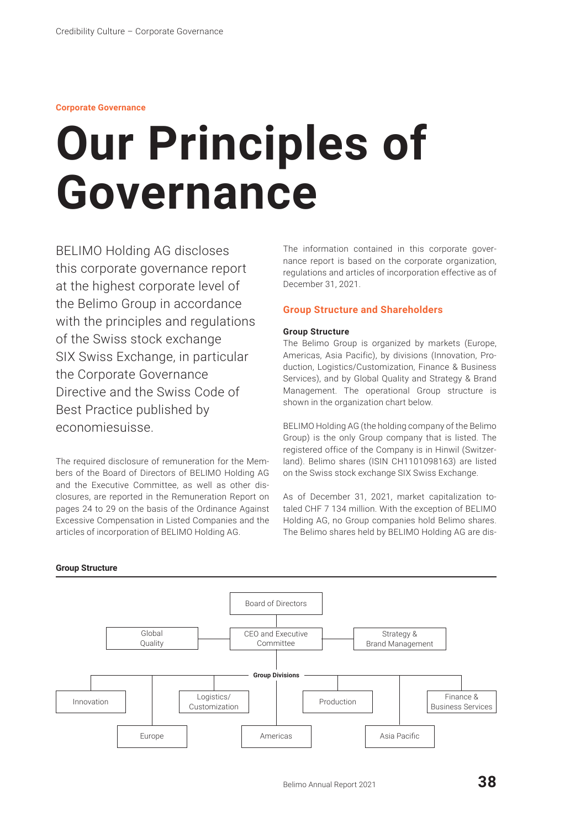# **Corporate Governance**

# **Our Principles of Governance**

BELIMO Holding AG discloses this corporate governance report at the highest corporate level of the Belimo Group in accordance with the principles and regulations of the Swiss stock exchange SIX Swiss Exchange, in particular the Corporate Governance Directive and the Swiss Code of Best Practice published by economiesuisse.

The required disclosure of remuneration for the Members of the Board of Directors of BELIMO Holding AG and the Executive Committee, as well as other disclosures, are reported in the Remuneration Report on pages 24 to 29 on the basis of the Ordinance Against Excessive Compensation in Listed Companies and the articles of incorporation of BELIMO Holding AG.

The information contained in this corporate governance report is based on the corporate organization, regulations and articles of incorporation effective as of December 31, 2021.

# **Group Structure and Shareholders**

# **Group Structure**

The Belimo Group is organized by markets (Europe, Americas, Asia Pacific), by divisions (Innovation, Production, Logistics/Customization, Finance & Business Services), and by Global Quality and Strategy & Brand Management. The operational Group structure is shown in the organization chart below.

BELIMO Holding AG (the holding company of the Belimo Group) is the only Group company that is listed. The registered office of the Company is in Hinwil (Switzerland). Belimo shares (ISIN CH1101098163) are listed on the Swiss stock exchange SIX Swiss Exchange.

As of December 31, 2021, market capitalization totaled CHF 7 134 million. With the exception of BELIMO Holding AG, no Group companies hold Belimo shares. The Belimo shares held by BELIMO Holding AG are dis-

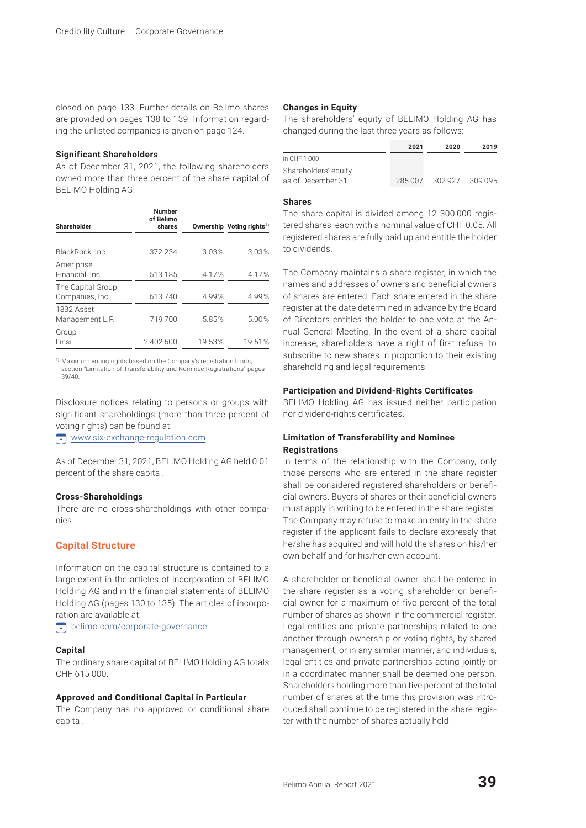closed on page 133. Further details on Belimo shares are provided on pages 138 to 139. Information regarding the unlisted companies is given on page 124.

## **Significant Shareholders**

As of December 31, 2021, the following shareholders owned more than three percent of the share capital of BELIMO Holding AG:

| <b>Shareholder</b>                   | Number<br>of Belimo<br>shares |        | Ownership Voting rights <sup>1)</sup> |
|--------------------------------------|-------------------------------|--------|---------------------------------------|
|                                      |                               |        |                                       |
| BlackRock, Inc.                      | 372 234                       | 3.03%  | 3.03%                                 |
| Ameriprise<br>Financial, Inc.        | 513 185                       | 4.17%  | 4.17%                                 |
| The Capital Group<br>Companies, Inc. | 613740                        | 4.99%  | 4.99%                                 |
| 1832 Asset<br>Management L.P.        | 719700                        | 5.85%  | 5.00%                                 |
| Group<br>Linsi                       | 2 402 600                     | 19.53% | 19.51%                                |

1) Maximum voting rights based on the Company's registration limits, section "Limitation of Transferability and Nominee Registrations" pages 39/40.

Disclosure notices relating to persons or groups with significant shareholdings (more than three percent of voting rights) can be found at:

[www.six-exchange-regulation.com](http://www.six-exchange-regulation.com)

As of December 31, 2021, BELIMO Holding AG held 0.01 percent of the share capital.

## **Cross-Shareholdings**

There are no cross-shareholdings with other companies.

# **Capital Structure**

Information on the capital structure is contained to a large extent in the articles of incorporation of BELIMO Holding AG and in the financial statements of BELIMO Holding AG (pages 130 to 135). The articles of incorporation are available at:

**f** [belimo.com/corporate-governance](http://www.belimo.com/corporate-governance)

## **Capital**

The ordinary share capital of BELIMO Holding AG totals CHF 615 000.

## **Approved and Conditional Capital in Particular**

The Company has no approved or conditional share capital.

## **Changes in Equity**

The shareholders' equity of BELIMO Holding AG has changed during the last three years as follows:

|                      | 2021    | 2020    | 2019      |
|----------------------|---------|---------|-----------|
| in CHF 1 000         |         |         |           |
| Shareholders' equity |         |         |           |
| as of December 31    | 285 007 | 302 927 | - 309 095 |

## **Shares**

The share capital is divided among 12 300 000 registered shares, each with a nominal value of CHF 0.05. All registered shares are fully paid up and entitle the holder to dividends.

The Company maintains a share register, in which the names and addresses of owners and beneficial owners of shares are entered. Each share entered in the share register at the date determined in advance by the Board of Directors entitles the holder to one vote at the Annual General Meeting. In the event of a share capital increase, shareholders have a right of first refusal to subscribe to new shares in proportion to their existing shareholding and legal requirements.

## **Participation and Dividend-Rights Certificates**

BELIMO Holding AG has issued neither participation nor dividend-rights certificates.

## **Limitation of Transferability and Nominee Registrations**

In terms of the relationship with the Company, only those persons who are entered in the share register shall be considered registered shareholders or beneficial owners. Buyers of shares or their beneficial owners must apply in writing to be entered in the share register. The Company may refuse to make an entry in the share register if the applicant fails to declare expressly that he/she has acquired and will hold the shares on his/her own behalf and for his/her own account.

A shareholder or beneficial owner shall be entered in the share register as a voting shareholder or beneficial owner for a maximum of five percent of the total number of shares as shown in the commercial register. Legal entities and private partnerships related to one another through ownership or voting rights, by shared management, or in any similar manner, and individuals, legal entities and private partnerships acting jointly or in a coordinated manner shall be deemed one person. Shareholders holding more than five percent of the total number of shares at the time this provision was introduced shall continue to be registered in the share register with the number of shares actually held.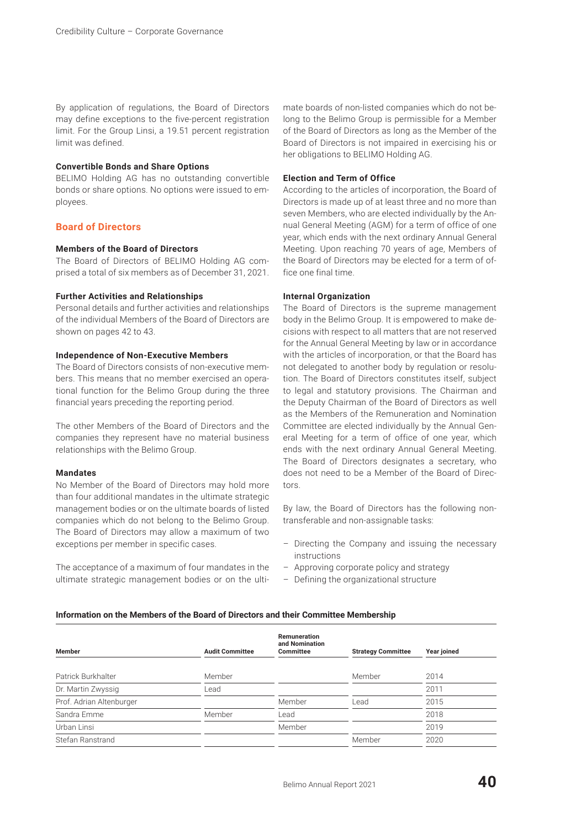By application of regulations, the Board of Directors may define exceptions to the five-percent registration limit. For the Group Linsi, a 19.51 percent registration limit was defined.

## **Convertible Bonds and Share Options**

BELIMO Holding AG has no outstanding convertible bonds or share options. No options were issued to employees.

# **Board of Directors**

# **Members of the Board of Directors**

The Board of Directors of BELIMO Holding AG comprised a total of six members as of December 31, 2021.

## **Further Activities and Relationships**

Personal details and further activities and relationships of the individual Members of the Board of Directors are shown on pages 42 to 43.

## **Independence of Non-Executive Members**

The Board of Directors consists of non-executive members. This means that no member exercised an operational function for the Belimo Group during the three financial years preceding the reporting period.

The other Members of the Board of Directors and the companies they represent have no material business relationships with the Belimo Group.

# **Mandates**

No Member of the Board of Directors may hold more than four additional mandates in the ultimate strategic management bodies or on the ultimate boards of listed companies which do not belong to the Belimo Group. The Board of Directors may allow a maximum of two exceptions per member in specific cases.

The acceptance of a maximum of four mandates in the ultimate strategic management bodies or on the ultimate boards of non-listed companies which do not belong to the Belimo Group is permissible for a Member of the Board of Directors as long as the Member of the Board of Directors is not impaired in exercising his or her obligations to BELIMO Holding AG.

## **Election and Term of Office**

According to the articles of incorporation, the Board of Directors is made up of at least three and no more than seven Members, who are elected individually by the Annual General Meeting (AGM) for a term of office of one year, which ends with the next ordinary Annual General Meeting. Upon reaching 70 years of age, Members of the Board of Directors may be elected for a term of office one final time.

# **Internal Organization**

The Board of Directors is the supreme management body in the Belimo Group. It is empowered to make decisions with respect to all matters that are not reserved for the Annual General Meeting by law or in accordance with the articles of incorporation, or that the Board has not delegated to another body by regulation or resolution. The Board of Directors constitutes itself, subject to legal and statutory provisions. The Chairman and the Deputy Chairman of the Board of Directors as well as the Members of the Remuneration and Nomination Committee are elected individually by the Annual General Meeting for a term of office of one year, which ends with the next ordinary Annual General Meeting. The Board of Directors designates a secretary, who does not need to be a Member of the Board of Directors.

By law, the Board of Directors has the following nontransferable and non-assignable tasks:

- Directing the Company and issuing the necessary instructions
- Approving corporate policy and strategy
- Defining the organizational structure

#### **Information on the Members of the Board of Directors and their Committee Membership**

| Member                   | <b>Audit Committee</b> | Remuneration<br>and Nomination<br><b>Committee</b> | <b>Strategy Committee</b> | Year joined |
|--------------------------|------------------------|----------------------------------------------------|---------------------------|-------------|
| Patrick Burkhalter       | Member                 |                                                    | Member                    | 2014        |
| Dr. Martin Zwyssig       | Lead                   |                                                    |                           | 2011        |
| Prof. Adrian Altenburger |                        | Member                                             | Lead                      | 2015        |
| Sandra Emme              | Member                 | Lead                                               |                           | 2018        |
| Urban Linsi              |                        | Member                                             |                           | 2019        |
| Stefan Ranstrand         |                        |                                                    | Member                    | 2020        |
|                          |                        |                                                    |                           |             |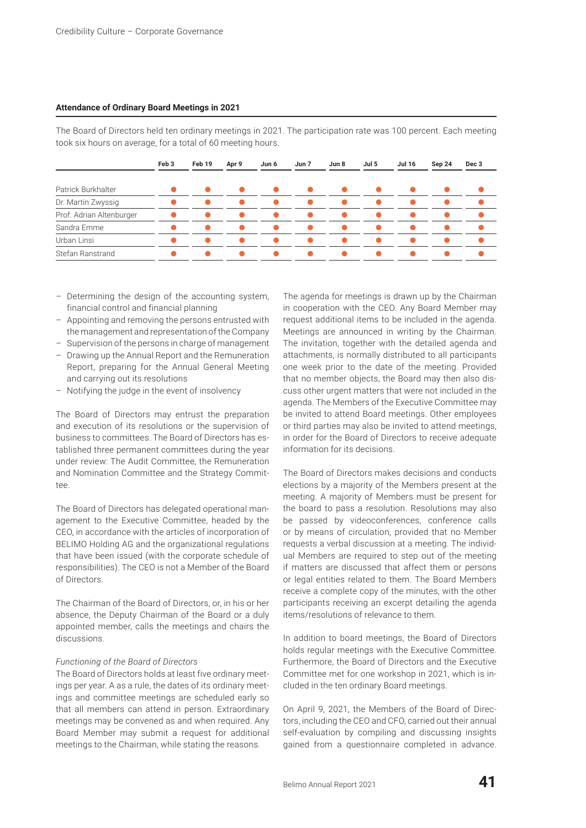## **Attendance of Ordinary Board Meetings in 2021**

The Board of Directors held ten ordinary meetings in 2021. The participation rate was 100 percent. Each meeting took six hours on average, for a total of 60 meeting hours.

|                          | Feb <sub>3</sub> | Feb 19    | Apr 9 | Jun 6          | Jun 7     | Jun 8     | Jul 5     | <b>Jul 16</b> | Sep 24 | Dec 3 |
|--------------------------|------------------|-----------|-------|----------------|-----------|-----------|-----------|---------------|--------|-------|
| Patrick Burkhalter       |                  | $\bullet$ |       | $\bullet$      | $\bullet$ | $\bullet$ | $\bullet$ |               |        |       |
| Dr. Martin Zwyssig       |                  |           |       | ●              |           |           |           |               |        |       |
| Prof. Adrian Altenburger |                  |           |       | $\blacksquare$ |           |           | -         |               |        |       |
| Sandra Emme              |                  |           |       |                |           |           |           |               |        |       |
| Urban Linsi              |                  |           |       |                |           |           |           |               |        |       |
| Stefan Ranstrand         |                  |           |       | $\bullet$      |           |           |           |               |        |       |

- Determining the design of the accounting system, financial control and financial planning
- Appointing and removing the persons entrusted with the management and representation of the Company
- Supervision of the persons in charge of management
- Drawing up the Annual Report and the Remuneration Report, preparing for the Annual General Meeting and carrying out its resolutions
- Notifying the judge in the event of insolvency

The Board of Directors may entrust the preparation and execution of its resolutions or the supervision of business to committees. The Board of Directors has established three permanent committees during the year under review: The Audit Committee, the Remuneration and Nomination Committee and the Strategy Committee.

The Board of Directors has delegated operational management to the Executive Committee, headed by the CEO, in accordance with the articles of incorporation of BELIMO Holding AG and the organizational regulations that have been issued (with the corporate schedule of responsibilities). The CEO is not a Member of the Board of Directors.

The Chairman of the Board of Directors, or, in his or her absence, the Deputy Chairman of the Board or a duly appointed member, calls the meetings and chairs the discussions.

#### *Functioning of the Board of Directors*

The Board of Directors holds at least five ordinary meetings per year. A as a rule, the dates of its ordinary meetings and committee meetings are scheduled early so that all members can attend in person. Extraordinary meetings may be convened as and when required. Any Board Member may submit a request for additional meetings to the Chairman, while stating the reasons.

The agenda for meetings is drawn up by the Chairman in cooperation with the CEO. Any Board Member may request additional items to be included in the agenda. Meetings are announced in writing by the Chairman. The invitation, together with the detailed agenda and attachments, is normally distributed to all participants one week prior to the date of the meeting. Provided that no member objects, the Board may then also discuss other urgent matters that were not included in the agenda. The Members of the Executive Committee may be invited to attend Board meetings. Other employees or third parties may also be invited to attend meetings, in order for the Board of Directors to receive adequate information for its decisions.

The Board of Directors makes decisions and conducts elections by a majority of the Members present at the meeting. A majority of Members must be present for the board to pass a resolution. Resolutions may also be passed by videoconferences, conference calls or by means of circulation, provided that no Member requests a verbal discussion at a meeting. The individual Members are required to step out of the meeting if matters are discussed that affect them or persons or legal entities related to them. The Board Members receive a complete copy of the minutes, with the other participants receiving an excerpt detailing the agenda items/resolutions of relevance to them.

In addition to board meetings, the Board of Directors holds regular meetings with the Executive Committee. Furthermore, the Board of Directors and the Executive Committee met for one workshop in 2021, which is included in the ten ordinary Board meetings.

On April 9, 2021, the Members of the Board of Directors, including the CEO and CFO, carried out their annual self-evaluation by compiling and discussing insights gained from a questionnaire completed in advance.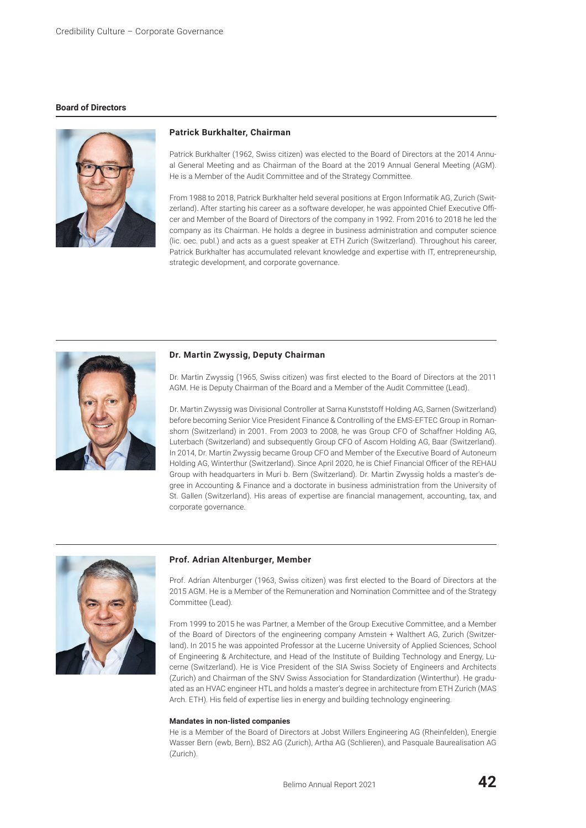## **Board of Directors**



## **Patrick Burkhalter, Chairman**

Patrick Burkhalter (1962, Swiss citizen) was elected to the Board of Directors at the 2014 Annual General Meeting and as Chairman of the Board at the 2019 Annual General Meeting (AGM). He is a Member of the Audit Committee and of the Strategy Committee.

From 1988 to 2018, Patrick Burkhalter held several positions at Ergon Informatik AG, Zurich (Switzerland). After starting his career as a software developer, he was appointed Chief Executive Officer and Member of the Board of Directors of the company in 1992. From 2016 to 2018 he led the company as its Chairman. He holds a degree in business administration and computer science (lic. oec. publ.) and acts as a guest speaker at ETH Zurich (Switzerland). Throughout his career, Patrick Burkhalter has accumulated relevant knowledge and expertise with IT, entrepreneurship, strategic development, and corporate governance.



#### **Dr. Martin Zwyssig, Deputy Chairman**

Dr. Martin Zwyssig (1965, Swiss citizen) was first elected to the Board of Directors at the 2011 AGM. He is Deputy Chairman of the Board and a Member of the Audit Committee (Lead).

Dr. Martin Zwyssig was Divisional Controller at Sarna Kunststoff Holding AG, Sarnen (Switzerland) before becoming Senior Vice President Finance & Controlling of the EMS-EFTEC Group in Romanshorn (Switzerland) in 2001. From 2003 to 2008, he was Group CFO of Schaffner Holding AG, Luterbach (Switzerland) and subsequently Group CFO of Ascom Holding AG, Baar (Switzerland). In 2014, Dr. Martin Zwyssig became Group CFO and Member of the Executive Board of Autoneum Holding AG, Winterthur (Switzerland). Since April 2020, he is Chief Financial Officer of the REHAU Group with headquarters in Muri b. Bern (Switzerland). Dr. Martin Zwyssig holds a master's degree in Accounting & Finance and a doctorate in business administration from the University of St. Gallen (Switzerland). His areas of expertise are financial management, accounting, tax, and corporate governance.



#### **Prof. Adrian Altenburger, Member**

Prof. Adrian Altenburger (1963, Swiss citizen) was first elected to the Board of Directors at the 2015 AGM. He is a Member of the Remuneration and Nomination Committee and of the Strategy Committee (Lead).

From 1999 to 2015 he was Partner, a Member of the Group Executive Committee, and a Member of the Board of Directors of the engineering company Amstein + Walthert AG, Zurich (Switzerland). In 2015 he was appointed Professor at the Lucerne University of Applied Sciences, School of Engineering & Architecture, and Head of the Institute of Building Technology and Energy, Lucerne (Switzerland). He is Vice President of the SIA Swiss Society of Engineers and Architects (Zurich) and Chairman of the SNV Swiss Association for Standardization (Winterthur). He graduated as an HVAC engineer HTL and holds a master's degree in architecture from ETH Zurich (MAS Arch. ETH). His field of expertise lies in energy and building technology engineering.

#### **Mandates in non-listed companies**

He is a Member of the Board of Directors at Jobst Willers Engineering AG (Rheinfelden), Energie Wasser Bern (ewb, Bern), BS2 AG (Zurich), Artha AG (Schlieren), and Pasquale Baurealisation AG (Zurich).

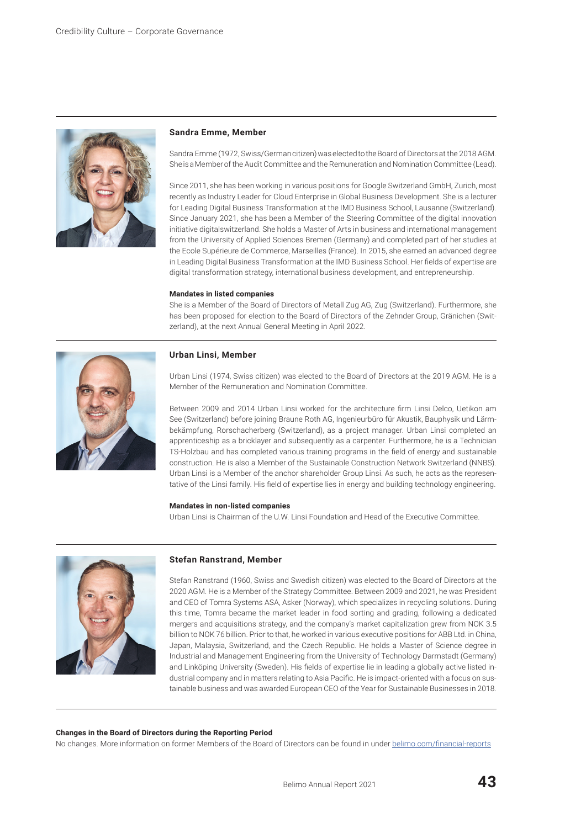

#### **Sandra Emme, Member**

Sandra Emme (1972, Swiss/German citizen) was elected to the Board of Directors at the 2018 AGM. She is a Member of the Audit Committee and the Remuneration and Nomination Committee (Lead).

Since 2011, she has been working in various positions for Google Switzerland GmbH, Zurich, most recently as Industry Leader for Cloud Enterprise in Global Business Development. She is a lecturer for Leading Digital Business Transformation at the IMD Business School, Lausanne (Switzerland). Since January 2021, she has been a Member of the Steering Committee of the digital innovation initiative digitalswitzerland. She holds a Master of Arts in business and international management from the University of Applied Sciences Bremen (Germany) and completed part of her studies at the Ecole Supérieure de Commerce, Marseilles (France). In 2015, she earned an advanced degree in Leading Digital Business Transformation at the IMD Business School. Her fields of expertise are digital transformation strategy, international business development, and entrepreneurship.

#### **Mandates in listed companies**

She is a Member of the Board of Directors of Metall Zug AG, Zug (Switzerland). Furthermore, she has been proposed for election to the Board of Directors of the Zehnder Group, Gränichen (Switzerland), at the next Annual General Meeting in April 2022.



#### **Urban Linsi, Member**

Urban Linsi (1974, Swiss citizen) was elected to the Board of Directors at the 2019 AGM. He is a Member of the Remuneration and Nomination Committee.

Between 2009 and 2014 Urban Linsi worked for the architecture firm Linsi Delco, Uetikon am See (Switzerland) before joining Braune Roth AG, Ingenieurbüro für Akustik, Bauphysik und Lärmbekämpfung, Rorschacherberg (Switzerland), as a project manager. Urban Linsi completed an apprenticeship as a bricklayer and subsequently as a carpenter. Furthermore, he is a Technician TS-Holzbau and has completed various training programs in the field of energy and sustainable construction. He is also a Member of the Sustainable Construction Network Switzerland (NNBS). Urban Linsi is a Member of the anchor shareholder Group Linsi. As such, he acts as the representative of the Linsi family. His field of expertise lies in energy and building technology engineering.

#### **Mandates in non-listed companies**

Urban Linsi is Chairman of the U.W. Linsi Foundation and Head of the Executive Committee.



#### **Stefan Ranstrand, Member**

Stefan Ranstrand (1960, Swiss and Swedish citizen) was elected to the Board of Directors at the 2020 AGM. He is a Member of the Strategy Committee. Between 2009 and 2021, he was President and CEO of Tomra Systems ASA, Asker (Norway), which specializes in recycling solutions. During this time, Tomra became the market leader in food sorting and grading, following a dedicated mergers and acquisitions strategy, and the company's market capitalization grew from NOK 3.5 billion to NOK 76 billion. Prior to that, he worked in various executive positions for ABB Ltd. in China, Japan, Malaysia, Switzerland, and the Czech Republic. He holds a Master of Science degree in Industrial and Management Engineering from the University of Technology Darmstadt (Germany) and Linköping University (Sweden). His fields of expertise lie in leading a globally active listed industrial company and in matters relating to Asia Pacific. He is impact-oriented with a focus on sustainable business and was awarded European CEO of the Year for Sustainable Businesses in 2018.

#### **Changes in the Board of Directors during the Reporting Period**

No changes. More information on former Members of the Board of Directors can be found in under [belimo.com/financial-reports](http://www.belimo.com/financial-reports)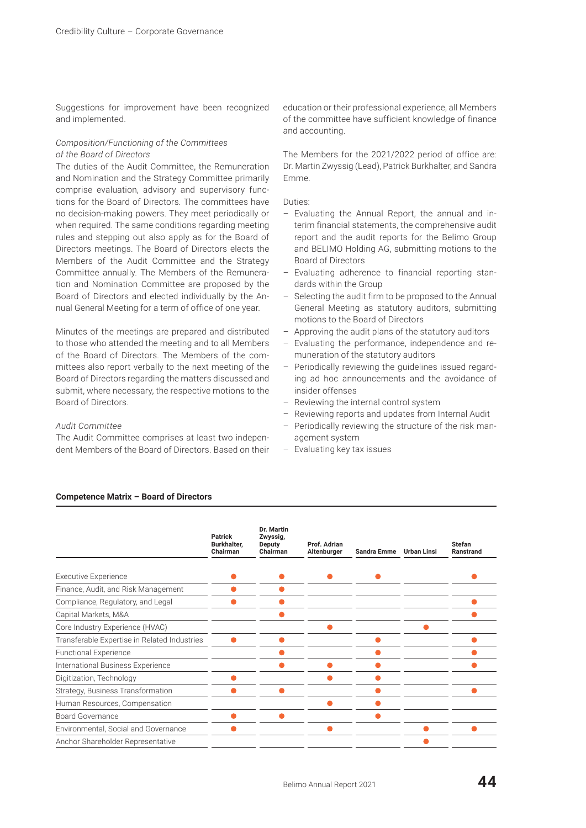Suggestions for improvement have been recognized and implemented.

# *Composition/Functioning of the Committees of the Board of Directors*

The duties of the Audit Committee, the Remuneration and Nomination and the Strategy Committee primarily comprise evaluation, advisory and supervisory functions for the Board of Directors. The committees have no decision-making powers. They meet periodically or when required. The same conditions regarding meeting rules and stepping out also apply as for the Board of Directors meetings. The Board of Directors elects the Members of the Audit Committee and the Strategy Committee annually. The Members of the Remuneration and Nomination Committee are proposed by the Board of Directors and elected individually by the Annual General Meeting for a term of office of one year.

Minutes of the meetings are prepared and distributed to those who attended the meeting and to all Members of the Board of Directors. The Members of the committees also report verbally to the next meeting of the Board of Directors regarding the matters discussed and submit, where necessary, the respective motions to the Board of Directors.

## *Audit Committee*

The Audit Committee comprises at least two independent Members of the Board of Directors. Based on their education or their professional experience, all Members of the committee have sufficient knowledge of finance and accounting.

The Members for the 2021/2022 period of office are: Dr. Martin Zwyssig (Lead), Patrick Burkhalter, and Sandra Emme.

Duties:

- Evaluating the Annual Report, the annual and interim financial statements, the comprehensive audit report and the audit reports for the Belimo Group and BELIMO Holding AG, submitting motions to the Board of Directors
- Evaluating adherence to financial reporting standards within the Group
- Selecting the audit firm to be proposed to the Annual General Meeting as statutory auditors, submitting motions to the Board of Directors
- Approving the audit plans of the statutory auditors
- Evaluating the performance, independence and remuneration of the statutory auditors
- Periodically reviewing the guidelines issued regarding ad hoc announcements and the avoidance of insider offenses
- Reviewing the internal control system
- Reviewing reports and updates from Internal Audit
- Periodically reviewing the structure of the risk management system
- Evaluating key tax issues

|                                              | <b>Patrick</b><br>Burkhalter,<br>Chairman | Dr. Martin<br>Zwyssig,<br>Deputy<br>Chairman | Prof. Adrian<br>Altenburger | <b>Sandra Emme</b> | <b>Urban Linsi</b> | <b>Stefan</b><br><b>Ranstrand</b> |
|----------------------------------------------|-------------------------------------------|----------------------------------------------|-----------------------------|--------------------|--------------------|-----------------------------------|
| <b>Executive Experience</b>                  |                                           |                                              |                             |                    |                    |                                   |
| Finance, Audit, and Risk Management          |                                           |                                              |                             |                    |                    |                                   |
|                                              |                                           |                                              |                             |                    |                    |                                   |
| Compliance, Regulatory, and Legal            |                                           |                                              |                             |                    |                    |                                   |
| Capital Markets, M&A                         |                                           |                                              |                             |                    |                    |                                   |
| Core Industry Experience (HVAC)              |                                           |                                              |                             |                    |                    |                                   |
| Transferable Expertise in Related Industries |                                           |                                              |                             |                    |                    |                                   |
| <b>Functional Experience</b>                 |                                           |                                              |                             |                    |                    |                                   |
| International Business Experience            |                                           |                                              |                             |                    |                    |                                   |
| Digitization, Technology                     |                                           |                                              |                             |                    |                    |                                   |
| Strategy, Business Transformation            |                                           |                                              |                             |                    |                    |                                   |
| Human Resources, Compensation                |                                           |                                              |                             |                    |                    |                                   |
| Board Governance                             |                                           |                                              |                             |                    |                    |                                   |
| Environmental, Social and Governance         |                                           |                                              |                             |                    |                    |                                   |
| Anchor Shareholder Representative            |                                           |                                              |                             |                    |                    |                                   |

# **Competence Matrix – Board of Directors**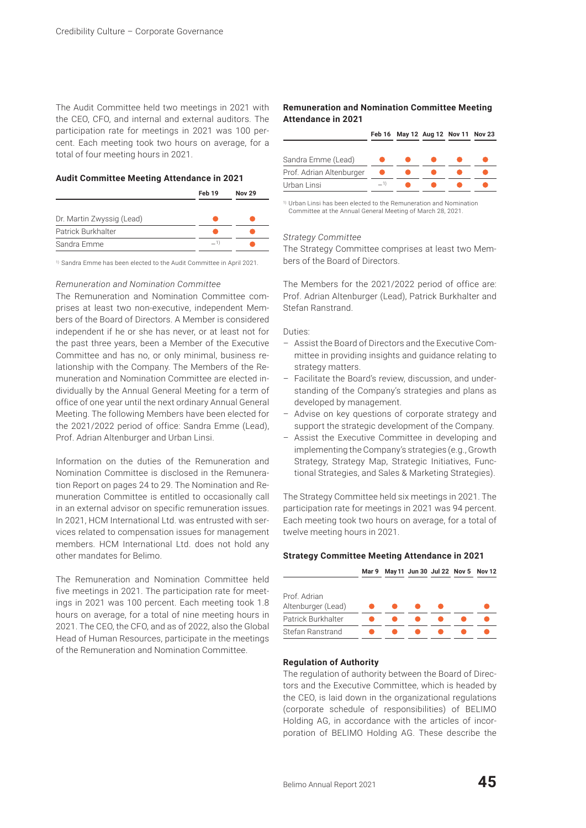The Audit Committee held two meetings in 2021 with the CEO, CFO, and internal and external auditors. The participation rate for meetings in 2021 was 100 percent. Each meeting took two hours on average, for a total of four meeting hours in 2021.

## **Audit Committee Meeting Attendance in 2021**

|                           | Feb 19 | <b>Nov 29</b> |
|---------------------------|--------|---------------|
| Dr. Martin Zwyssig (Lead) |        |               |
| Patrick Burkhalter        |        |               |
| Sandra Emme               | $-1$   |               |
|                           |        |               |

1) Sandra Emme has been elected to the Audit Committee in April 2021.

# *Remuneration and Nomination Committee*

The Remuneration and Nomination Committee comprises at least two non-executive, independent Members of the Board of Directors. A Member is considered independent if he or she has never, or at least not for the past three years, been a Member of the Executive Committee and has no, or only minimal, business relationship with the Company. The Members of the Remuneration and Nomination Committee are elected individually by the Annual General Meeting for a term of office of one year until the next ordinary Annual General Meeting. The following Members have been elected for the 2021/2022 period of office: Sandra Emme (Lead), Prof. Adrian Altenburger and Urban Linsi.

Information on the duties of the Remuneration and Nomination Committee is disclosed in the Remuneration Report on pages 24 to 29. The Nomination and Remuneration Committee is entitled to occasionally call in an external advisor on specific remuneration issues. In 2021, HCM International Ltd. was entrusted with services related to compensation issues for management members. HCM International Ltd. does not hold any other mandates for Belimo.

The Remuneration and Nomination Committee held five meetings in 2021. The participation rate for meetings in 2021 was 100 percent. Each meeting took 1.8 hours on average, for a total of nine meeting hours in 2021. The CEO, the CFO, and as of 2022, also the Global Head of Human Resources, participate in the meetings of the Remuneration and Nomination Committee.

## **Remuneration and Nomination Committee Meeting Attendance in 2021**

|                          |       | Feb 16 May 12 Aug 12 Nov 11 Nov 23 |  |  |
|--------------------------|-------|------------------------------------|--|--|
| Sandra Emme (Lead)       |       |                                    |  |  |
| Prof. Adrian Altenburger |       |                                    |  |  |
| Urban Linsi              | $-1)$ |                                    |  |  |

1) Urban Linsi has been elected to the Remuneration and Nomination Committee at the Annual General Meeting of March 28, 2021.

## *Strategy Committee*

The Strategy Committee comprises at least two Members of the Board of Directors.

The Members for the 2021/2022 period of office are: Prof. Adrian Altenburger (Lead), Patrick Burkhalter and Stefan Ranstrand.

## Duties:

- Assist the Board of Directors and the Executive Committee in providing insights and guidance relating to strategy matters.
- Facilitate the Board's review, discussion, and understanding of the Company's strategies and plans as developed by management.
- Advise on key questions of corporate strategy and support the strategic development of the Company.
- Assist the Executive Committee in developing and implementing the Company's strategies (e.g., Growth Strategy, Strategy Map, Strategic Initiatives, Functional Strategies, and Sales & Marketing Strategies).

The Strategy Committee held six meetings in 2021. The participation rate for meetings in 2021 was 94 percent. Each meeting took two hours on average, for a total of twelve meeting hours in 2021.

## **Strategy Committee Meeting Attendance in 2021**

|                                    | Mar 9 |  |  | May 11 Jun 30 Jul 22 Nov 5 Nov 12 |
|------------------------------------|-------|--|--|-----------------------------------|
| Prof. Adrian<br>Altenburger (Lead) |       |  |  |                                   |
| Patrick Burkhalter                 |       |  |  |                                   |
| Stefan Ranstrand                   |       |  |  |                                   |

## **Regulation of Authority**

The regulation of authority between the Board of Directors and the Executive Committee, which is headed by the CEO, is laid down in the organizational regulations (corporate schedule of responsibilities) of BELIMO Holding AG, in accordance with the articles of incorporation of BELIMO Holding AG. These describe the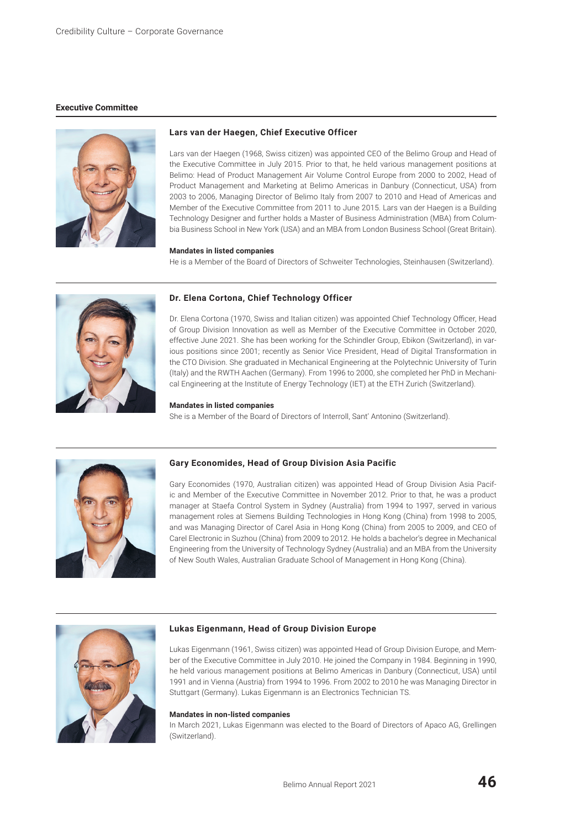## **Executive Committee**



## **Lars van der Haegen, Chief Executive Officer**

Lars van der Haegen (1968, Swiss citizen) was appointed CEO of the Belimo Group and Head of the Executive Committee in July 2015. Prior to that, he held various management positions at Belimo: Head of Product Management Air Volume Control Europe from 2000 to 2002, Head of Product Management and Marketing at Belimo Americas in Danbury (Connecticut, USA) from 2003 to 2006, Managing Director of Belimo Italy from 2007 to 2010 and Head of Americas and Member of the Executive Committee from 2011 to June 2015. Lars van der Haegen is a Building Technology Designer and further holds a Master of Business Administration (MBA) from Columbia Business School in New York (USA) and an MBA from London Business School (Great Britain).

#### **Mandates in listed companies**

He is a Member of the Board of Directors of Schweiter Technologies, Steinhausen (Switzerland).



## **Dr. Elena Cortona, Chief Technology Officer**

Dr. Elena Cortona (1970, Swiss and Italian citizen) was appointed Chief Technology Officer, Head of Group Division Innovation as well as Member of the Executive Committee in October 2020, effective June 2021. She has been working for the Schindler Group, Ebikon (Switzerland), in various positions since 2001; recently as Senior Vice President, Head of Digital Transformation in the CTO Division. She graduated in Mechanical Engineering at the Polytechnic University of Turin (Italy) and the RWTH Aachen (Germany). From 1996 to 2000, she completed her PhD in Mechanical Engineering at the Institute of Energy Technology (IET) at the ETH Zurich (Switzerland).

## **Mandates in listed companies**

She is a Member of the Board of Directors of Interroll, Sant' Antonino (Switzerland).



#### **Gary Economides, Head of Group Division Asia Pacific**

Gary Economides (1970, Australian citizen) was appointed Head of Group Division Asia Pacific and Member of the Executive Committee in November 2012. Prior to that, he was a product manager at Staefa Control System in Sydney (Australia) from 1994 to 1997, served in various management roles at Siemens Building Technologies in Hong Kong (China) from 1998 to 2005, and was Managing Director of Carel Asia in Hong Kong (China) from 2005 to 2009, and CEO of Carel Electronic in Suzhou (China) from 2009 to 2012. He holds a bachelor's degree in Mechanical Engineering from the University of Technology Sydney (Australia) and an MBA from the University of New South Wales, Australian Graduate School of Management in Hong Kong (China).



#### **Lukas Eigenmann, Head of Group Division Europe**

Lukas Eigenmann (1961, Swiss citizen) was appointed Head of Group Division Europe, and Member of the Executive Committee in July 2010. He joined the Company in 1984. Beginning in 1990, he held various management positions at Belimo Americas in Danbury (Connecticut, USA) until 1991 and in Vienna (Austria) from 1994 to 1996. From 2002 to 2010 he was Managing Director in Stuttgart (Germany). Lukas Eigenmann is an Electronics Technician TS.

#### **Mandates in non-listed companies**

In March 2021, Lukas Eigenmann was elected to the Board of Directors of Apaco AG, Grellingen (Switzerland).

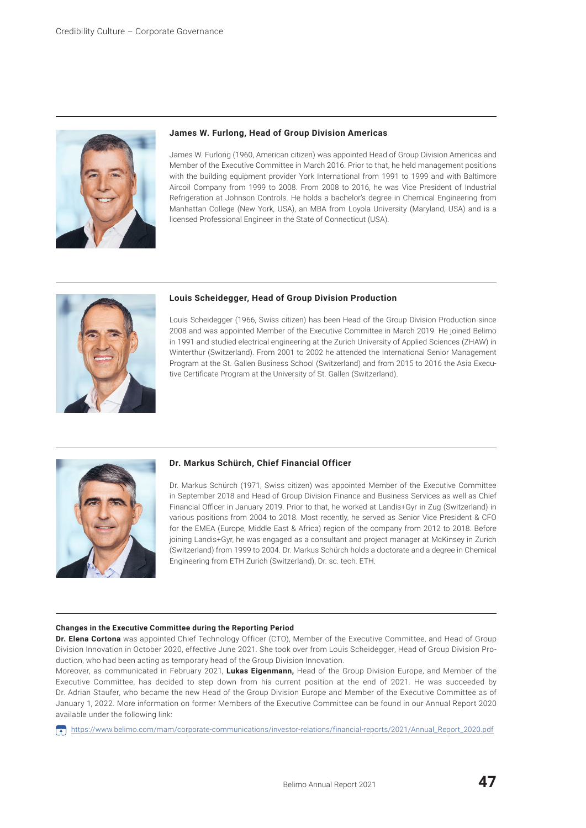

# **James W. Furlong, Head of Group Division Americas**

James W. Furlong (1960, American citizen) was appointed Head of Group Division Americas and Member of the Executive Committee in March 2016. Prior to that, he held management positions with the building equipment provider York International from 1991 to 1999 and with Baltimore Aircoil Company from 1999 to 2008. From 2008 to 2016, he was Vice President of Industrial Refrigeration at Johnson Controls. He holds a bachelor's degree in Chemical Engineering from Manhattan College (New York, USA), an MBA from Loyola University (Maryland, USA) and is a licensed Professional Engineer in the State of Connecticut (USA).



## **Louis Scheidegger, Head of Group Division Production**

Louis Scheidegger (1966, Swiss citizen) has been Head of the Group Division Production since 2008 and was appointed Member of the Executive Committee in March 2019. He joined Belimo in 1991 and studied electrical engineering at the Zurich University of Applied Sciences (ZHAW) in Winterthur (Switzerland). From 2001 to 2002 he attended the International Senior Management Program at the St. Gallen Business School (Switzerland) and from 2015 to 2016 the Asia Executive Certificate Program at the University of St. Gallen (Switzerland).



#### **Dr. Markus Schürch, Chief Financial Officer**

Dr. Markus Schürch (1971, Swiss citizen) was appointed Member of the Executive Committee in September 2018 and Head of Group Division Finance and Business Services as well as Chief Financial Officer in January 2019. Prior to that, he worked at Landis+Gyr in Zug (Switzerland) in various positions from 2004 to 2018. Most recently, he served as Senior Vice President & CFO for the EMEA (Europe, Middle East & Africa) region of the company from 2012 to 2018. Before joining Landis+Gyr, he was engaged as a consultant and project manager at McKinsey in Zurich (Switzerland) from 1999 to 2004. Dr. Markus Schürch holds a doctorate and a degree in Chemical Engineering from ETH Zurich (Switzerland), Dr. sc. tech. ETH.

#### **Changes in the Executive Committee during the Reporting Period**

**Dr. Elena Cortona** was appointed Chief Technology Officer (CTO), Member of the Executive Committee, and Head of Group Division Innovation in October 2020, effective June 2021. She took over from Louis Scheidegger, Head of Group Division Production, who had been acting as temporary head of the Group Division Innovation.

Moreover, as communicated in February 2021, **Lukas Eigenmann,** Head of the Group Division Europe, and Member of the Executive Committee, has decided to step down from his current position at the end of 2021. He was succeeded by Dr. Adrian Staufer, who became the new Head of the Group Division Europe and Member of the Executive Committee as of January 1, 2022. More information on former Members of the Executive Committee can be found in our Annual Report 2020 available under the following link:

[https://www.belimo.com/mam/corporate-communications/investor](https://www.belimo.com/mam/corporate-communications/investor-relations/financial-reports/2021/Annual_Report_2020.pdf)-relations/financial-reports/2021/Annual\_Report\_2020.pdf

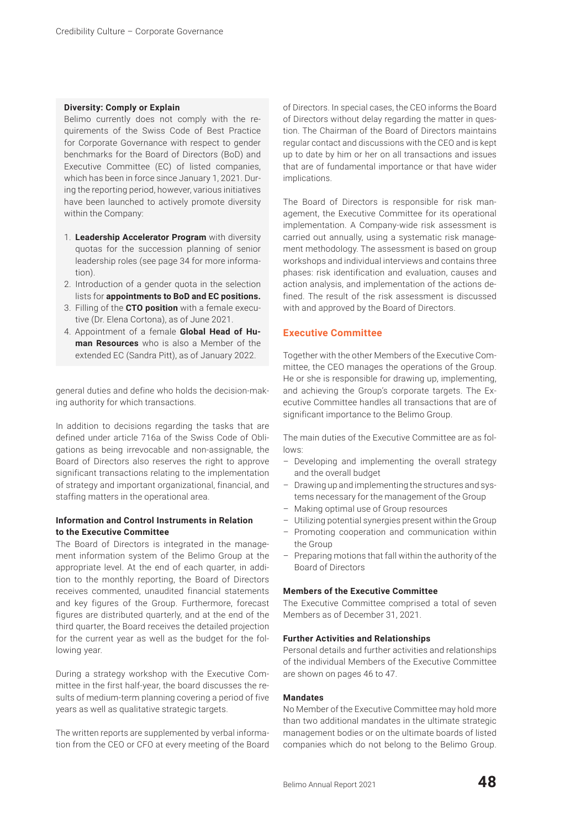## **Diversity: Comply or Explain**

Belimo currently does not comply with the requirements of the Swiss Code of Best Practice for Corporate Governance with respect to gender benchmarks for the Board of Directors (BoD) and Executive Committee (EC) of listed companies, which has been in force since January 1, 2021. During the reporting period, however, various initiatives have been launched to actively promote diversity within the Company:

- 1. **Leadership Accelerator Program** with diversity quotas for the succession planning of senior leadership roles (see page 34 for more information).
- 2. Introduction of a gender quota in the selection lists for **appointments to BoD and EC positions.**
- 3. Filling of the **CTO position** with a female executive (Dr. Elena Cortona), as of June 2021.
- 4. Appointment of a female **Global Head of Human Resources** who is also a Member of the extended EC (Sandra Pitt), as of January 2022.

general duties and define who holds the decision-making authority for which transactions.

In addition to decisions regarding the tasks that are defined under article 716a of the Swiss Code of Obligations as being irrevocable and non-assignable, the Board of Directors also reserves the right to approve significant transactions relating to the implementation of strategy and important organizational, financial, and staffing matters in the operational area.

# **Information and Control Instruments in Relation to the Executive Committee**

The Board of Directors is integrated in the management information system of the Belimo Group at the appropriate level. At the end of each quarter, in addition to the monthly reporting, the Board of Directors receives commented, unaudited financial statements and key figures of the Group. Furthermore, forecast figures are distributed quarterly, and at the end of the third quarter, the Board receives the detailed projection for the current year as well as the budget for the following year.

During a strategy workshop with the Executive Committee in the first half-year, the board discusses the results of medium-term planning covering a period of five years as well as qualitative strategic targets.

The written reports are supplemented by verbal information from the CEO or CFO at every meeting of the Board of Directors. In special cases, the CEO informs the Board of Directors without delay regarding the matter in question. The Chairman of the Board of Directors maintains regular contact and discussions with the CEO and is kept up to date by him or her on all transactions and issues that are of fundamental importance or that have wider implications.

The Board of Directors is responsible for risk management, the Executive Committee for its operational implementation. A Company-wide risk assessment is carried out annually, using a systematic risk management methodology. The assessment is based on group workshops and individual interviews and contains three phases: risk identification and evaluation, causes and action analysis, and implementation of the actions defined. The result of the risk assessment is discussed with and approved by the Board of Directors.

# **Executive Committee**

Together with the other Members of the Executive Committee, the CEO manages the operations of the Group. He or she is responsible for drawing up, implementing, and achieving the Group's corporate targets. The Executive Committee handles all transactions that are of significant importance to the Belimo Group.

The main duties of the Executive Committee are as follows:

- Developing and implementing the overall strategy and the overall budget
- Drawing up and implementing the structures and systems necessary for the management of the Group
- Making optimal use of Group resources
- Utilizing potential synergies present within the Group
- Promoting cooperation and communication within the Group
- Preparing motions that fall within the authority of the Board of Directors

## **Members of the Executive Committee**

The Executive Committee comprised a total of seven Members as of December 31, 2021.

## **Further Activities and Relationships**

Personal details and further activities and relationships of the individual Members of the Executive Committee are shown on pages 46 to 47.

## **Mandates**

No Member of the Executive Committee may hold more than two additional mandates in the ultimate strategic management bodies or on the ultimate boards of listed companies which do not belong to the Belimo Group.

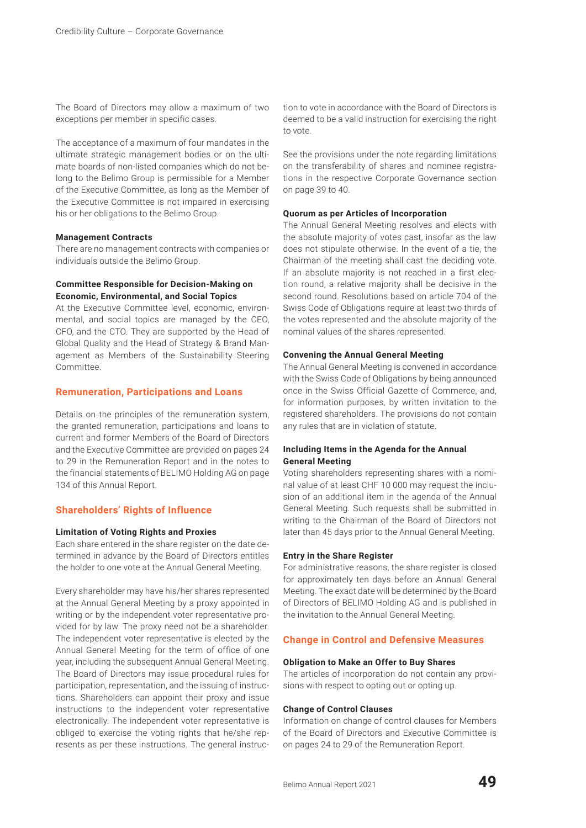The Board of Directors may allow a maximum of two exceptions per member in specific cases.

The acceptance of a maximum of four mandates in the ultimate strategic management bodies or on the ultimate boards of non-listed companies which do not belong to the Belimo Group is permissible for a Member of the Executive Committee, as long as the Member of the Executive Committee is not impaired in exercising his or her obligations to the Belimo Group.

## **Management Contracts**

There are no management contracts with companies or individuals outside the Belimo Group.

# **Committee Responsible for Decision-Making on Economic, Environmental, and Social Topics**

At the Executive Committee level, economic, environmental, and social topics are managed by the CEO, CFO, and the CTO. They are supported by the Head of Global Quality and the Head of Strategy & Brand Management as Members of the Sustainability Steering Committee.

## **Remuneration, Participations and Loans**

Details on the principles of the remuneration system, the granted remuneration, participations and loans to current and former Members of the Board of Directors and the Executive Committee are provided on pages 24 to 29 in the Remuneration Report and in the notes to the financial statements of BELIMO Holding AG on page 134 of this Annual Report.

# **Shareholders' Rights of Influence**

## **Limitation of Voting Rights and Proxies**

Each share entered in the share register on the date determined in advance by the Board of Directors entitles the holder to one vote at the Annual General Meeting.

Every shareholder may have his/her shares represented at the Annual General Meeting by a proxy appointed in writing or by the independent voter representative provided for by law. The proxy need not be a shareholder. The independent voter representative is elected by the Annual General Meeting for the term of office of one year, including the subsequent Annual General Meeting. The Board of Directors may issue procedural rules for participation, representation, and the issuing of instructions. Shareholders can appoint their proxy and issue instructions to the independent voter representative electronically. The independent voter representative is obliged to exercise the voting rights that he/she represents as per these instructions. The general instruction to vote in accordance with the Board of Directors is deemed to be a valid instruction for exercising the right to vote.

See the provisions under the note regarding limitations on the transferability of shares and nominee registrations in the respective Corporate Governance section on page 39 to 40.

## **Quorum as per Articles of Incorporation**

The Annual General Meeting resolves and elects with the absolute majority of votes cast, insofar as the law does not stipulate otherwise. In the event of a tie, the Chairman of the meeting shall cast the deciding vote. If an absolute majority is not reached in a first election round, a relative majority shall be decisive in the second round. Resolutions based on article 704 of the Swiss Code of Obligations require at least two thirds of the votes represented and the absolute majority of the nominal values of the shares represented.

#### **Convening the Annual General Meeting**

The Annual General Meeting is convened in accordance with the Swiss Code of Obligations by being announced once in the Swiss Official Gazette of Commerce, and, for information purposes, by written invitation to the registered shareholders. The provisions do not contain any rules that are in violation of statute.

# **Including Items in the Agenda for the Annual General Meeting**

Voting shareholders representing shares with a nominal value of at least CHF 10 000 may request the inclusion of an additional item in the agenda of the Annual General Meeting. Such requests shall be submitted in writing to the Chairman of the Board of Directors not later than 45 days prior to the Annual General Meeting.

#### **Entry in the Share Register**

For administrative reasons, the share register is closed for approximately ten days before an Annual General Meeting. The exact date will be determined by the Board of Directors of BELIMO Holding AG and is published in the invitation to the Annual General Meeting.

# **Change in Control and Defensive Measures**

## **Obligation to Make an Offer to Buy Shares**

The articles of incorporation do not contain any provisions with respect to opting out or opting up.

## **Change of Control Clauses**

Information on change of control clauses for Members of the Board of Directors and Executive Committee is on pages 24 to 29 of the Remuneration Report.